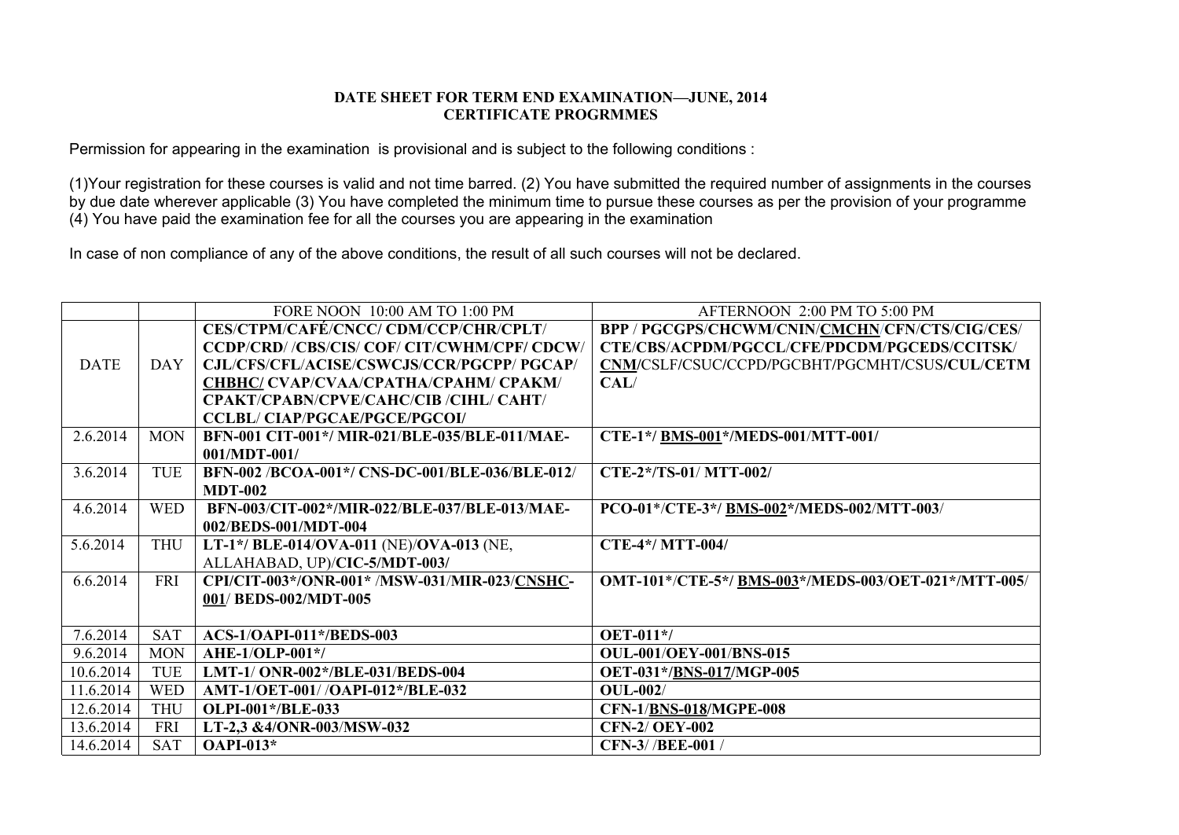## **DATE SHEET FOR TERM END EXAMINATION—JUNE, 2014 CERTIFICATE PROGRMMES**

Permission for appearing in the examination is provisional and is subject to the following conditions :

(1)Your registration for these courses is valid and not time barred. (2) You have submitted the required number of assignments in the courses by due date wherever applicable (3) You have completed the minimum time to pursue these courses as per the provision of your programme (4) You have paid the examination fee for all the courses you are appearing in the examination

In case of non compliance of any of the above conditions, the result of all such courses will not be declared.

|             |            | FORE NOON 10:00 AM TO 1:00 PM                   | AFTERNOON 2:00 PM TO 5:00 PM                         |
|-------------|------------|-------------------------------------------------|------------------------------------------------------|
|             |            | <b>CES/CTPM/CAFÉ/CNCC/ CDM/CCP/CHR/CPLT/</b>    | BPP / PGCGPS/CHCWM/CNIN/CMCHN/CFN/CTS/CIG/CES/       |
|             |            | CCDP/CRD/ /CBS/CIS/ COF/ CIT/CWHM/CPF/ CDCW/    | CTE/CBS/ACPDM/PGCCL/CFE/PDCDM/PGCEDS/CCITSK/         |
| <b>DATE</b> | <b>DAY</b> | CJL/CFS/CFL/ACISE/CSWCJS/CCR/PGCPP/ PGCAP/      | CNM/CSLF/CSUC/CCPD/PGCBHT/PGCMHT/CSUS/CUL/CETM       |
|             |            | CHBHC/ CVAP/CVAA/CPATHA/CPAHM/ CPAKM/           | CAL/                                                 |
|             |            | CPAKT/CPABN/CPVE/CAHC/CIB /CIHL/ CAHT/          |                                                      |
|             |            | <b>CCLBL/CIAP/PGCAE/PGCE/PGCOI/</b>             |                                                      |
| 2.6.2014    | <b>MON</b> | BFN-001 CIT-001*/ MIR-021/BLE-035/BLE-011/MAE-  | CTE-1*/ BMS-001*/MEDS-001/MTT-001/                   |
|             |            | $001/MDT-001/$                                  |                                                      |
| 3.6.2014    | <b>TUE</b> | BFN-002 /BCOA-001*/ CNS-DC-001/BLE-036/BLE-012/ | CTE-2*/TS-01/ MTT-002/                               |
|             |            | <b>MDT-002</b>                                  |                                                      |
| 4.6.2014    | <b>WED</b> | BFN-003/CIT-002*/MIR-022/BLE-037/BLE-013/MAE-   | PCO-01*/CTE-3*/ BMS-002*/MEDS-002/MTT-003/           |
|             |            | 002/BEDS-001/MDT-004                            |                                                      |
| 5.6.2014    | <b>THU</b> | LT-1*/ BLE-014/OVA-011 (NE)/OVA-013 (NE,        | CTE-4*/MTT-004/                                      |
|             |            | ALLAHABAD, UP)/CIC-5/MDT-003/                   |                                                      |
| 6.6.2014    | <b>FRI</b> | CPI/CIT-003*/ONR-001* /MSW-031/MIR-023/CNSHC-   | OMT-101*/CTE-5*/ BMS-003*/MEDS-003/OET-021*/MTT-005/ |
|             |            | 001/ BEDS-002/MDT-005                           |                                                      |
|             |            |                                                 |                                                      |
| 7.6.2014    | <b>SAT</b> | <b>ACS-1/OAPI-011*/BEDS-003</b>                 | <b>OET-011*/</b>                                     |
| 9.6.2014    | <b>MON</b> | <b>AHE-1/OLP-001*/</b>                          | <b>OUL-001/OEY-001/BNS-015</b>                       |
| 10.6.2014   | <b>TUE</b> | LMT-1/ ONR-002*/BLE-031/BEDS-004                | OET-031*/BNS-017/MGP-005                             |
| 11.6.2014   | <b>WED</b> | AMT-1/OET-001//OAPI-012*/BLE-032                | $OUL-002/$                                           |
| 12.6.2014   | <b>THU</b> | OLPI-001*/BLE-033                               | <b>CFN-1/BNS-018/MGPE-008</b>                        |
| 13.6.2014   | <b>FRI</b> | LT-2,3 &4/ONR-003/MSW-032                       | <b>CFN-2/ OEY-002</b>                                |
| 14.6.2014   | <b>SAT</b> | <b>OAPI-013*</b>                                | CFN-3//BEE-001/                                      |